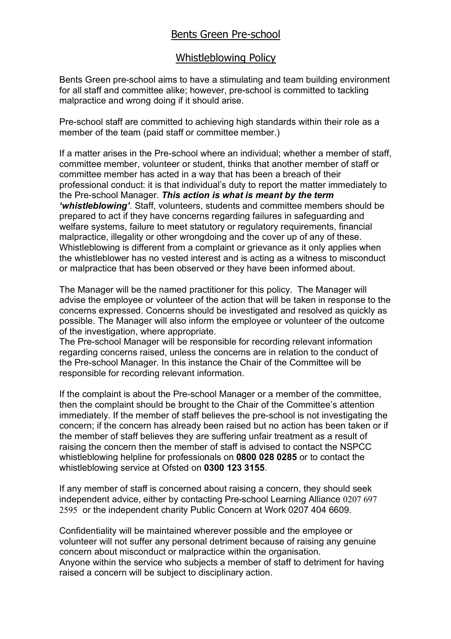## Bents Green Pre-school

## Whistleblowing Policy

Bents Green pre-school aims to have a stimulating and team building environment for all staff and committee alike; however, pre-school is committed to tackling malpractice and wrong doing if it should arise.

Pre-school staff are committed to achieving high standards within their role as a member of the team (paid staff or committee member.)

If a matter arises in the Pre-school where an individual; whether a member of staff, committee member, volunteer or student, thinks that another member of staff or committee member has acted in a way that has been a breach of their professional conduct: it is that individual's duty to report the matter immediately to the Pre-school Manager. *This action is what is meant by the term 'whistleblowing'*. Staff, volunteers, students and committee members should be prepared to act if they have concerns regarding failures in safeguarding and welfare systems, failure to meet statutory or regulatory requirements, financial malpractice, illegality or other wrongdoing and the cover up of any of these. Whistleblowing is different from a complaint or grievance as it only applies when the whistleblower has no vested interest and is acting as a witness to misconduct or malpractice that has been observed or they have been informed about.

The Manager will be the named practitioner for this policy. The Manager will advise the employee or volunteer of the action that will be taken in response to the concerns expressed. Concerns should be investigated and resolved as quickly as possible. The Manager will also inform the employee or volunteer of the outcome of the investigation, where appropriate.

The Pre-school Manager will be responsible for recording relevant information regarding concerns raised, unless the concerns are in relation to the conduct of the Pre-school Manager. In this instance the Chair of the Committee will be responsible for recording relevant information.

If the complaint is about the Pre-school Manager or a member of the committee, then the complaint should be brought to the Chair of the Committee's attention immediately. If the member of staff believes the pre-school is not investigating the concern; if the concern has already been raised but no action has been taken or if the member of staff believes they are suffering unfair treatment as a result of raising the concern then the member of staff is advised to contact the NSPCC whistleblowing helpline for professionals on **0800 028 0285** or to contact the whistleblowing service at Ofsted on **0300 123 3155**.

If any member of staff is concerned about raising a concern, they should seek independent advice, either by contacting Pre-school Learning Alliance 0207 697 2595 or the independent charity Public Concern at Work 0207 404 6609.

Confidentiality will be maintained wherever possible and the employee or volunteer will not suffer any personal detriment because of raising any genuine concern about misconduct or malpractice within the organisation. Anyone within the service who subjects a member of staff to detriment for having raised a concern will be subject to disciplinary action.